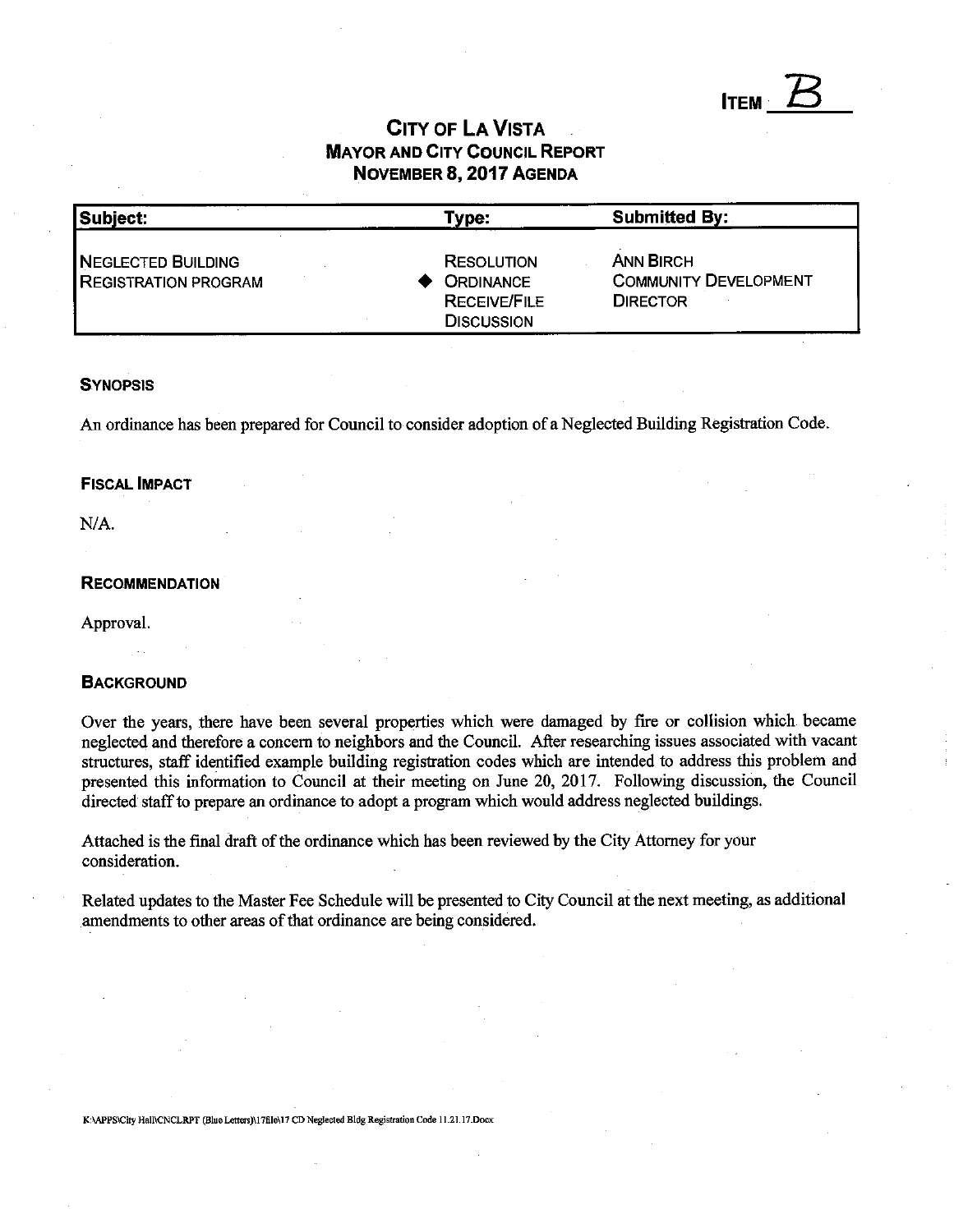ITEM

# CITY OF LA VISTA MAYOR AND CITY COUNCIL REPORT NOVEMBER 8,2017 AGENDA

| Subject:                                          | Type:                                                                             | <b>Submitted By:</b>                                                |
|---------------------------------------------------|-----------------------------------------------------------------------------------|---------------------------------------------------------------------|
| NEGLECTED BUILDING<br><b>REGISTRATION PROGRAM</b> | <b>RESOLUTION</b><br><b>ORDINANCE</b><br><b>RECEIVE/FILE</b><br><b>DISCUSSION</b> | <b>ANN BIRCH</b><br><b>COMMUNITY DEVELOPMENT</b><br><b>DIRECTOR</b> |

# **SYNOPSIS**

An ordinance has been prepared for Council to consider adoption of a Neglected Building Registration Code.

# FISCAL IMPACT

N/A.

# **RECOMMENDATION**

Approval.

# **BACKGROUND**

Over the years, there have been several properties which were damaged by fire or collision which became neglected and therefore a concern to neighbors and the Council. After researching issues associated with vacant structures, staff identified example building registration codes which are intended to address this problem and presented this information to Council at their meeting on June 20, 2017. Following discussion, the Council directed staff to prepare an ordinance to adopt a program which would address neglected buildings.

Attached is the final draft of the ordinance which has been reviewed by the City Attorney for your consideration.

Related updates to the Master Fee Schedule will be presented to City Council at the next meeting, as additional amendments to other areas of that ordinance are being considered.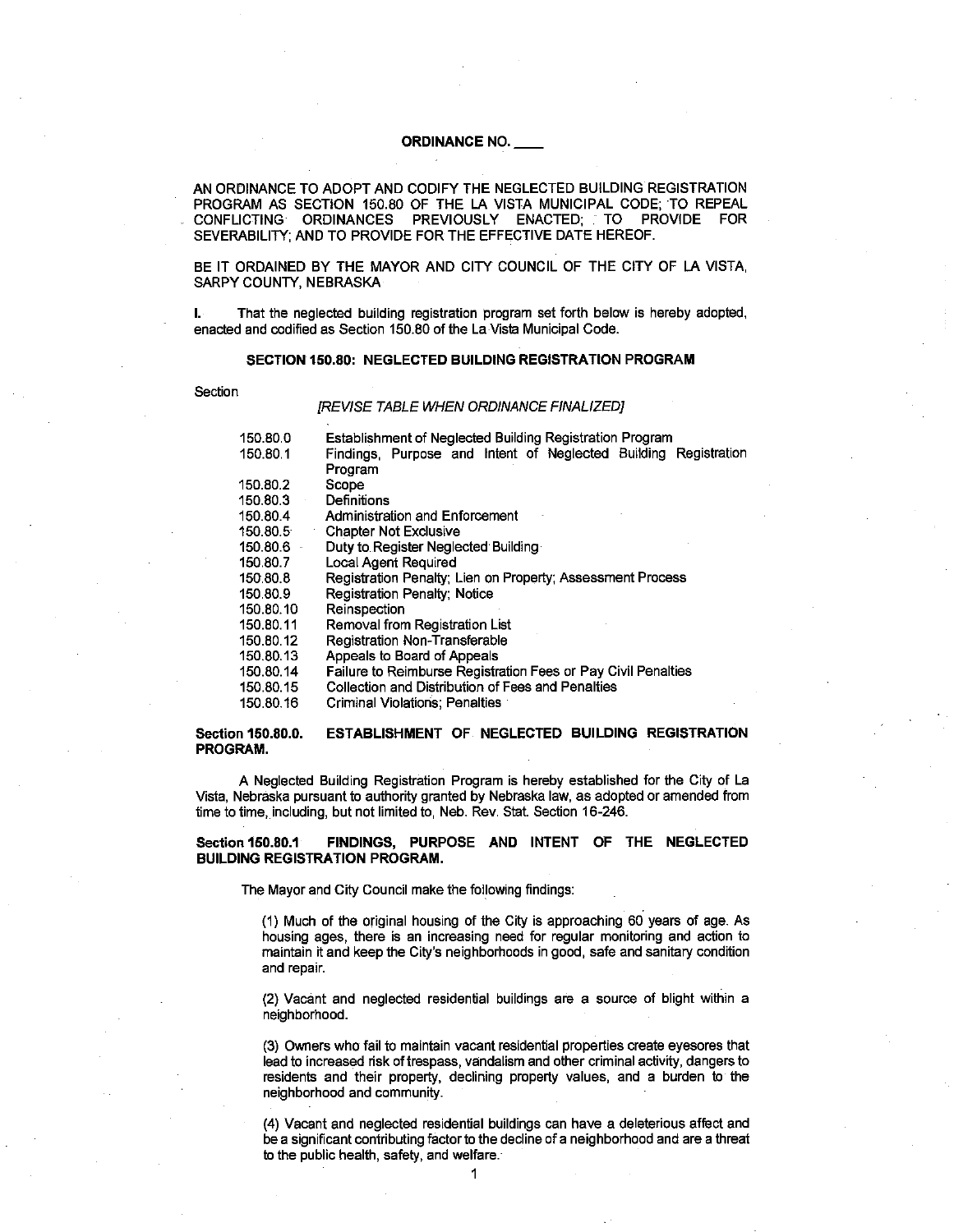# **ORDINANCE NO.**

AN ORDINANCE TO ADOPT AND CODIFY THE NEGLECTED BUILDING REGISTRATION PROGRAM AS SECTION 150.80 OF THE LA VISTA MUNICIPAL CODE; TO REPEAL CONFLICTING ORDINANCES PREVIOUSLY ENACTED; TO PROVIDE FOR SEVERABILITY; AND TO PROVIDE FOR THE EFFECTIVE DATE HEREOF.

BE IT ORDAINED BY THE MAYOR AND CITY COUNCIL OF THE CITY OF LA VISTA, SARPY COUNTY, NEBRASKA

I. That the neglected building registration program set forth below is hereby adopted, enacted and codified as Section 150.80 of the La Vista Municipal Code.

### **SECTION 150.80: NEGLECTED BUILDING REGISTRATION PROGRAM**

Section

*[REVISE TABLE WHEN ORDINANCE FINALIZED]* 

| 150.80.0  | <b>Establishment of Neglected Building Registration Program</b>            |
|-----------|----------------------------------------------------------------------------|
| 150.80.1  | Findings, Purpose and Intent of Neglected Building Registration<br>Program |
| 150.80.2  | Scope                                                                      |
| 150.80.3  | Definitions                                                                |
| 150.80.4  | <b>Administration and Enforcement</b>                                      |
| 150.80.5  | <b>Chapter Not Exclusive</b>                                               |
| 150.80.6  | Duty to Register Neglected Building                                        |
| 150.80.7  | <b>Local Agent Required</b>                                                |
| 150.80.8  | Registration Penalty: Lien on Property: Assessment Process                 |
| 150.80.9  | <b>Registration Penalty: Notice</b>                                        |
| 150.80.10 | Reinspection                                                               |
| 150.80.11 | Removal from Registration List                                             |
| 150.80.12 | Registration Non-Transferable                                              |
| 150.80.13 | Appeals to Board of Appeals                                                |
| 150.80.14 | <b>Failure to Reimburse Registration Fees or Pay Civil Penalties</b>       |
| 150.80.15 | Collection and Distribution of Fees and Penalties                          |
| 150,80.16 | Criminal Violations: Penalties                                             |
|           |                                                                            |

**Section 150.80.0. ESTABLISHMENT OF NEGLECTED BUILDING REGISTRATION PROGRAM.** 

A Neglected Building Registration Program is hereby established for the City of La Vista, Nebraska pursuant to authority granted by Nebraska law, as adopted or amended from time to time, including, but not limited to, Neb. Rev. Stat. Section 16-246.

**Section 150.80.1 FINDINGS, PURPOSE AND INTENT OF THE NEGLECTED BUILDING REGISTRATION PROGRAM.** 

The Mayor and City Council make the following findings:

(1) Much of the original housing of the City is approaching 60 years of age. As housing ages, there is an increasing need for regular monitoring and action to maintain it and keep the City's neighborhoods in good, safe and sanitary condition and repair.

(2) Vacant and neglected residential buildings are a source of blight within a neighborhood.

(3) Owners who fail to maintain vacant residential properties create eyesores that lead to increased risk of trespass, vandalism and other criminal activity, dangers to residents and their property, declining property values, and a burden to the neighborhood and community.

(4) Vacant and neglected residential buildings can have a deleterious affect and be a significant contributing factor to the decline of a neighborhood and are a threat to the public health, safety, and welfare.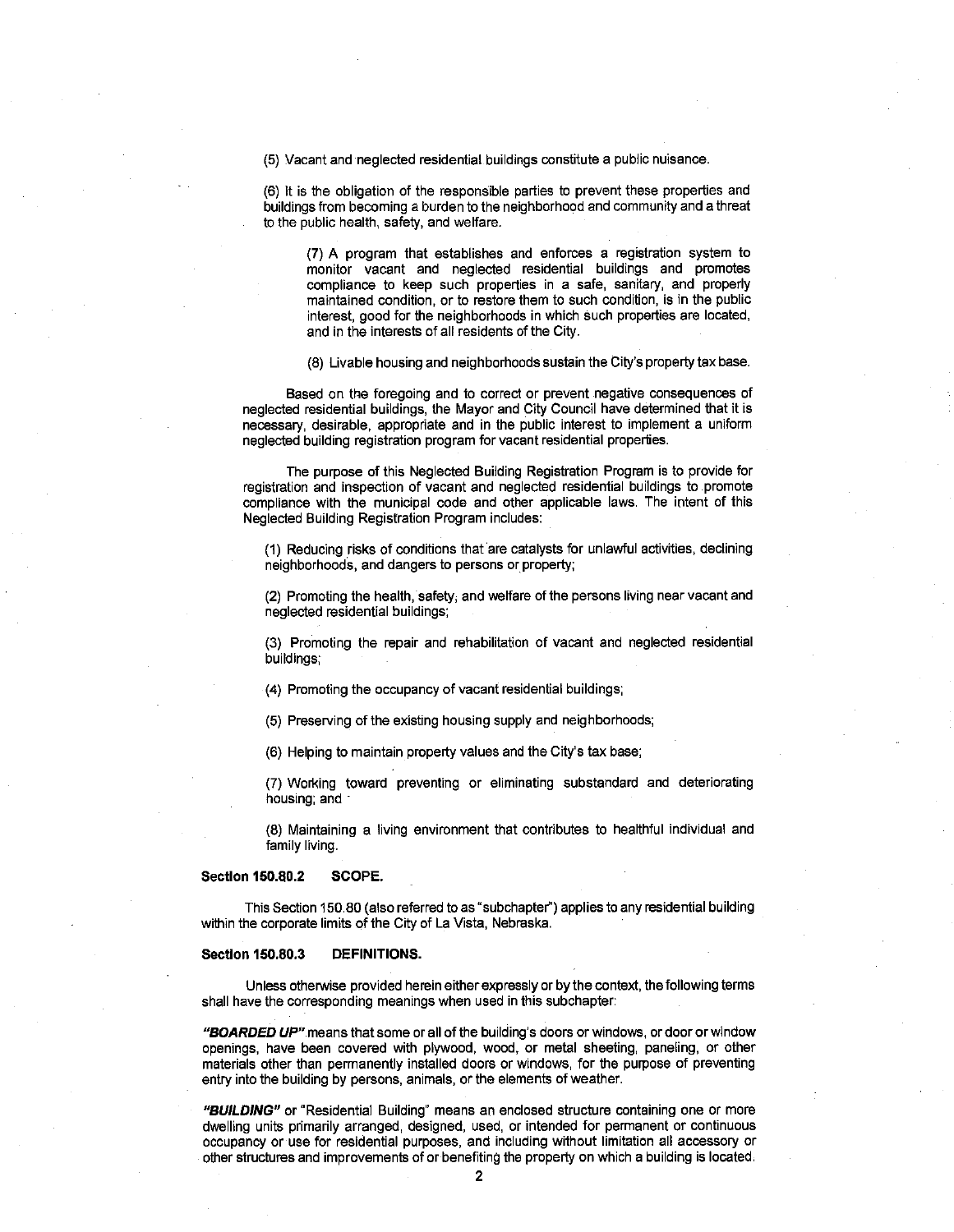(5) Vacant and neglected residential buildings constitute a public nuisance.

(6) It is the obligation of the responsible parties to prevent these properties and buildings from becoming a burden to the neighborhood and community and a threat to the public health, safety, and welfare.

(7) A program that establishes and enforces a registration system to monitor vacant and neglected residential buildings and promotes compliance to keep such properties in a safe, sanitary, and properly maintained condition, or to restore them to such condition, is in the public interest, good for the neighborhoods in which such properties are located, and in the interests of all residents of the City.

(8) Livable housing and neighborhoods sustain the City's property tax base.

Based on the foregoing and to correct or prevent negative consequences of neglected residential buildings, the Mayor and City Council have determined that it is necessary, desirable, appropriate and in the public interest to implement a uniform neglected building registration program for vacant residential properties.

The purpose of this Neglected Building Registration Program is to provide for registration and inspection of vacant and neglected residential buildings to promote compliance with the municipal code and other applicable laws. The intent of this Neglected Building Registration Program includes:

(1) Reducing risks of conditions that are catalysts for unlawful activities, declining neighborhoods, and dangers to persons or property;

(2) Promoting the health, safety, and welfare of the persons living near vacant and neglected residential buildings;

(3) Promoting the repair and rehabilitation of vacant and neglected residential buildings;

(4) Promoting the occupancy of vacant residential buildings;

(5) Preserving of the existing housing supply and neighborhoods;

(6) Helping to maintain property values and the City's tax base;

(7) Working toward preventing or eliminating substandard and deteriorating housing; and

(8) Maintaining a living environment that contributes to healthful individual and family living.

#### **Section 150.80.2 SCOPE.**

This Section 150.80 (also referred to as "subchapter") applies to any residential building within the corporate limits of the City of La Vista, Nebraska.

#### **Section 150.80.3 DEFINITIONS.**

Unless otherwise provided herein either expressly or by the context, the following terms shall have the corresponding meanings when used in this subchapter:

*"BOARDED UP"* means that some or all of the building's doors or windows, or door or window openings, have been covered with plywood, wood, or metal sheeting, paneling, or other materials other than permanently installed doors or windows, for the purpose of preventing entry into the building by persons, animals, or the elements of weather.

*"BUILDING"* or "Residential Building" means an enclosed structure containing one or more dwelling units primarily arranged, designed, used, or intended for permanent or continuous occupancy or use for residential purposes, and including without limitation all accessory or other structures and improvements of or benefiting the property on which a building is located.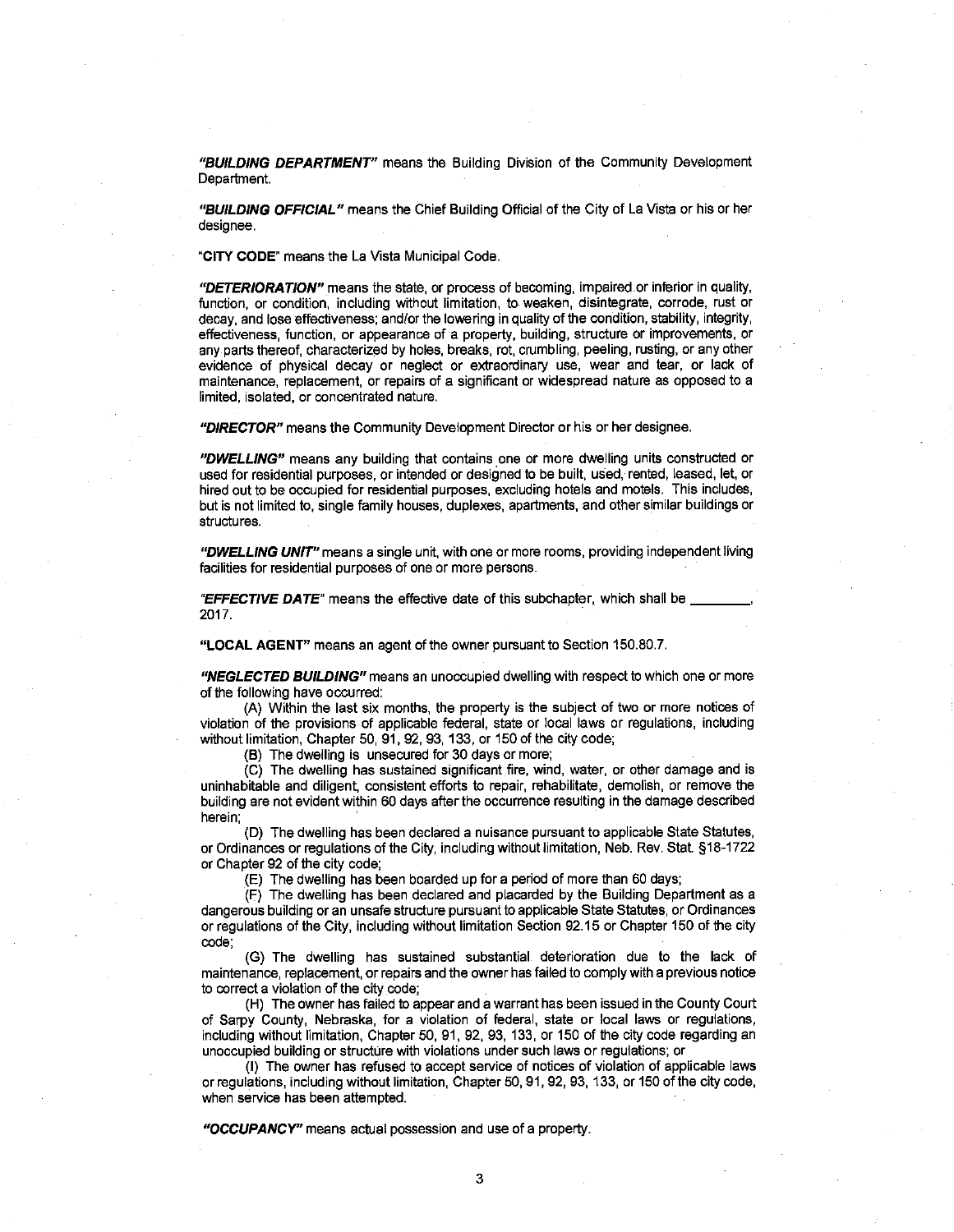*"BUILDING DEPARTMENT"* means the Building Division of the Community Development Department.

*"BUILDING OFFICIAL"* means the Chief Building Official of the City of La Vista or his or her designee.

**"CITY CODE"** means the La Vista Municipal Code.

*"DETERIORATION"* means the state, or process of becoming, impaired or inferior in quality, function, or condition, including without limitation, to weaken, disintegrate, corrode, rust or decay, and lose effectiveness; and/or the lowering in quality of the condition, stability, integrity, effectiveness, function, or appearance of a property, building, structure or improvements, or any parts thereof, characterized by holes, breaks, rot, crumbling, peeling, rusting, or any other evidence of physical decay or neglect or extraordinary use, wear and tear, or lack of maintenance, replacement, or repairs of a significant or widespread nature as opposed to a limited, isolated, or concentrated nature.

*"DIRECTOR"* means the Community Development Director or his or her designee.

*"DWELLING"* means any building that contains one or more dwelling units constructed or used for residential purposes, or intended or designed to be built, used, rented, leased, let, or hired out to be occupied for residential purposes, excluding hotels and motels. This includes, but is not limited to, single family houses, duplexes, apartments, and other similar buildings or structures.

*"DWELLING UNIT"* means a single unit, with one or more rooms, providing independent living facilities for residential purposes of one or more persons.

*"EFFECTIVE DATE"* means the effective date of this subchapter, which shall be , 2017.

**"LOCAL AGENT"** means an agent of the owner pursuant to Section 150.80.7.

*"NEGLECTED BUILDING"* means an unoccupied dwelling with respect to which one or more of the following have occurred:

(A) Within the last six months, the property is the subject of two or more notices of violation of the provisions of applicable federal, state or local laws or regulations, including without limitation, Chapter 50, 91, 92, 93,133, or 150 of the city code;

(B) The dwelling is unsecured for 30 days or more;

(C) The dwelling has sustained significant fire, wind, water, or other damage and is uninhabitable and diligent, consistent efforts to repair, rehabilitate, demolish, or remove the building are not evident within 60 days after the occurrence resulting in the damage described herein;

(D) The dwelling has been declared a nuisance pursuant to applicable State Statutes, or Ordinances or regulations of the City, including without limitation, Neb. Rev. Stat. §18-1722 or Chapter 92 of the city code;

(E) The dwelling has been boarded up for a period of more than 60 days;

(F) The dwelling has been declared and placarded by the Building Department as a dangerous building or an unsafe structure pursuant to applicable State Statutes, or Ordinances or regulations of the City, including without limitation Section 92.15 or Chapter 150 of the city code;

(G) The dwelling has sustained substantial deterioration due to the lack of maintenance, replacement, or repairs and the owner has failed to comply with a previous notice to correct a violation of the city code;

(H) The owner has failed to appear and a warrant has been issued in the County Court of Sarpy County, Nebraska, for a violation of federal, state or local laws or regulations, including without limitation, Chapter 50, 91, 92, 93, 133, or 150 of the city code regarding an unoccupied building or structure with violations under such laws or regulations; or

(I) The owner has refused to accept service of notices of violation of applicable laws or regulations, including without limitation, Chapter 50,91,92, 93,133, or 150 of the city code, when service has been attempted.

*"OCCUPANCY"* means actual possession and use of a property.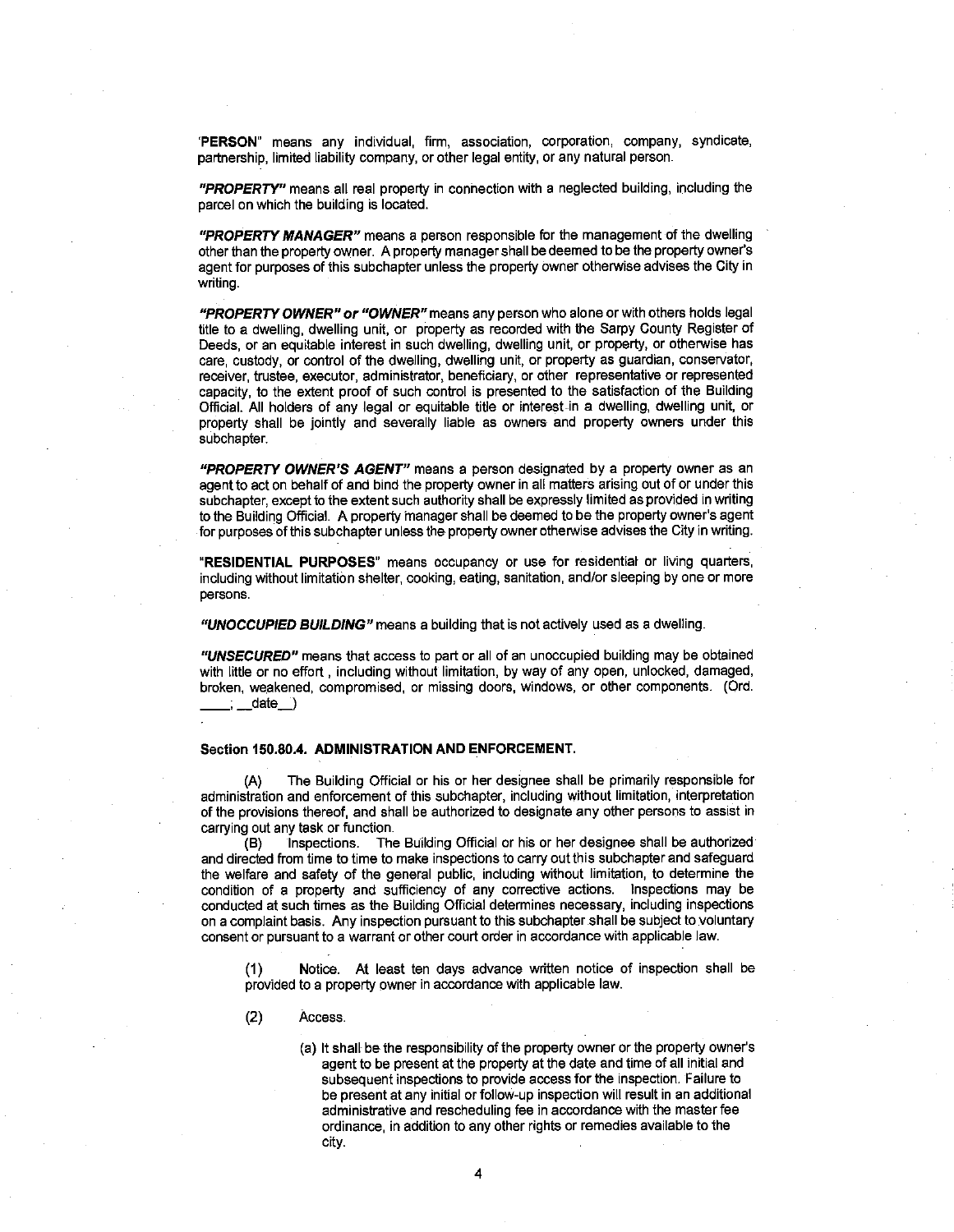**PERSON"** means any individual, firm, association, corporation, company, syndicate, partnership, limited liability company, or other legal entity, or any natural person.

*"PROPERTY"* means all real property in connection with a neglected building, including the parcel on which the building is located.

*"PROPERTY MANAGER"* means a person responsible for the management of the dwelling other than the property owner. A property manager shall be deemed to be the property owner's agent for purposes of this subchapter unless the property owner otherwise advises the City in writing.

*"PROPERTY OWNER" or "OWNER"* means any person who alone or with others holds legal title to a dwelling, dwelling unit, or property as recorded with the Sarpy County Register of Deeds, or an equitable interest in such dwelling, dwelling unit, or property, or otherwise has care, custody, or control of the dwelling, dwelling unit, or property as guardian, conservator, receiver, trustee, executor, administrator, beneficiary, or other representative or represented capacity, to the extent proof of such control is presented to the satisfaction of the Building Official. All holders of any legal or equitable title or interest in a dwelling, dwelling unit, or property shall be jointly and severally liable as owners and property owners under this subchapter.

*"PROPERTY OWNER'S AGENT"* means a person designated by a property owner as an agent to act on behalf of and bind the property owner in all matters arising out of or under this subchapter, except to the extent such authority shall be expressly limited as provided in writing to the Building Official. A property manager shall be deemed to be the property owner's agent for purposes of this subchapter unless the property owner otherwise advises the City in writing.

**"RESIDENTIAL PURPOSES"** means occupancy or use for residential or living quarters, including without limitation shelter, cooking, eating, sanitation, and/or sleeping by one or more persons.

*"UNOCCUPIED BUILDING"* means a building that is not actively used as a dwelling.

*"UNSECURED"* means that access to part or all of an unoccupied building may be obtained with little or no effort, including without limitation, by way of any open, unlocked, damaged, broken, weakened, compromised, or missing doors, windows, or other components. (Ord. ; date )

# **Section 150.80.4. ADMINISTRATION AND ENFORCEMENT.**

The Building Official or his or her designee shall be primarily responsible for administration and enforcement of this subchapter, including without limitation, interpretation of the provisions thereof, and shall be authorized to designate any other persons to assist in carrying out any task or function.

(B) Inspections. The Building Official or his or her designee shall be authorized and directed from time to time to make inspections to carry out this subchapter and safeguard the welfare and safety of the general public, including without limitation, to determine the condition of a property and sufficiency of any corrective actions. Inspections may be conducted at such times as the Building Official determines necessary, including inspections on a complaint basis. Any inspection pursuant to this subchapter shall be subject to voluntary consent or pursuant to a warrant or other court order in accordance with applicable law.

(1) Notice. At least ten days advance written notice of inspection shall be provided to a property owner in accordance with applicable law.

- (2) Access.
	- (a) It shall be the responsibility of the property owner or the property owner's agent to be present at the property at the date and time of all initial and subsequent inspections to provide access for the inspection. Failure to be present at any initial or follow-up inspection will result in an additional administrative and rescheduling fee in accordance with the master fee ordinance, in addition to any other rights or remedies available to the city.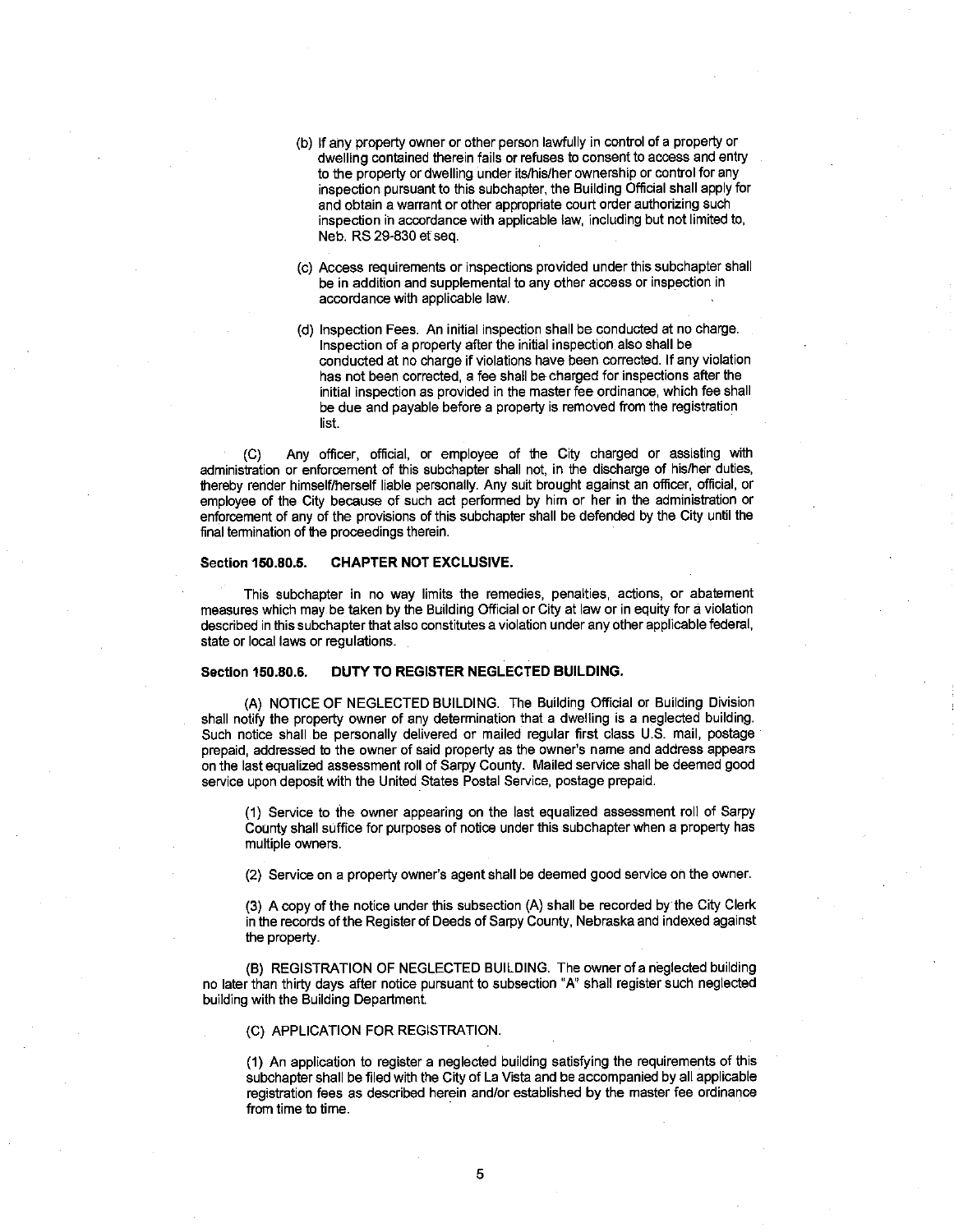- (b) If any property owner or other person lawfully in control of a property or dwelling contained therein fails or refuses to consent to access and entry to the property or dwelling under its/his/her ownership or control for any inspection pursuant to this subchapter, the Building Official shall apply for and obtain a warrant or other appropriate court order authorizing such inspection in accordance with applicable law, including but not limited to, Neb. RS 29-830 et seq.
- (c) Access requirements or inspections provided under this subchapter shall be in addition and supplemental to any other access or inspection in accordance with applicable law.
- (d) Inspection Fees. An initial inspection shall be conducted at no charge. Inspection of a property after the initial inspection also shall be conducted at no charge if violations have been corrected. If any violation has not been corrected, a fee shall be charged for inspections after the initial inspection as provided in the master fee ordinance, which fee shall be due and payable before a property is removed from the registration list.

(C) Any officer, official, or employee of the City charged or assisting with administration or enforcement of this subchapter shall not, in the discharge of his/her duties, thereby render himself/herself liable personally. Any suit brought against an officer, official, or employee of the City because of such act performed by him or her in the administration or enforcement of any of the provisions of this subchapter shall be defended by the City until the final termination of the proceedings therein.

### **Section 150.80.5. CHAPTER NOT EXCLUSIVE.**

This subchapter in no way limits the remedies, penalties, actions, or abatement measures which may be taken by the Building Official or City at law or in equity for a violation described in this subchapter that also constitutes a violation under any other applicable federal, state or local laws or regulations.

#### **Section 150.80.6. DUTY TO REGISTER NEGLECTED BUILDING.**

(A) NOTICE OF NEGLECTED BUILDING. The Building Official or Building Division shall notify the property owner of any determination that a dwelling is a neglected building. Such notice shall be personally delivered or mailed regular first class U.S. mail, postage prepaid, addressed to the owner of said property as the owner's name and address appears on the last equalized assessment roll of Sarpy County. Mailed service shall be deemed good service upon deposit with the United States Postal Service, postage prepaid.

(1) Service to the owner appearing on the last equalized assessment roll of Sarpy County shall suffice for purposes of notice under this subchapter when a property has multiple owners.

(2) Service on a property owner's agent shall be deemed good service on the owner.

(3) A copy of the notice under this subsection (A) shall be recorded by the City Clerk in the records of the Register of Deeds of Sarpy County, Nebraska and indexed against the property.

(B) REGISTRATION OF NEGLECTED BUILDING. The owner ofa neglected building no later than thirty days after notice pursuant to subsection "A" shall register such neglected building with the Building Department.

(C) APPLICATION FOR REGISTRATION.

(1) An application to register a neglected building satisfying the requirements of this subchapter shall be filed with the City of La Vista and be accompanied by all applicable registration fees as described herein and/or established by the master fee ordinance from time to time.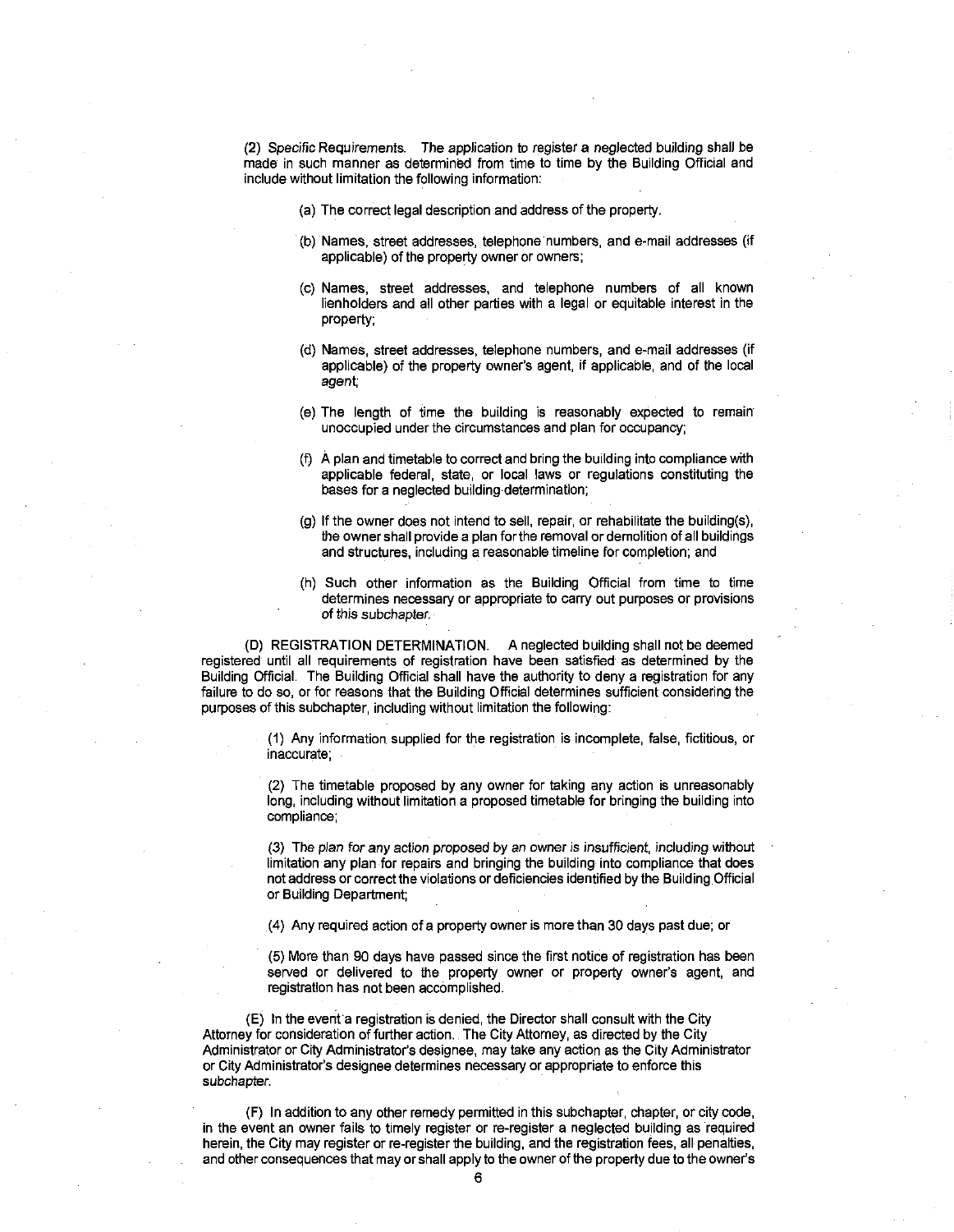(2) Specific Requirements. The application to register a neglected building shall be made in such manner as determined from time to time by the Building Official and include without limitation the following information:

- (a) The correct legal description and address of the property.
- (b) Names, street addresses, telephone numbers, and e-mail addresses (if applicable) of the property owner or owners;
- (c) Names, street addresses, and telephone numbers of all known lienholders and ail other parties with a legal or equitable interest in the property;
- (d) Names, street addresses, telephone numbers, and e-mail addresses (if applicable) of the property owner's agent, if applicable, and of the local agent;
- (e) The length of time the building is reasonably expected to remain unoccupied under the circumstances and plan for occupancy;
- (I) A plan and timetable to correct and bring the building into compliance with applicable federal, state, or local laws or regulations constituting the bases for a neglected building determination;
- (g) If the owner does not intend to sell, repair, or rehabilitate the building(s), the owner shall provide a plan for the removal or demolition of all buildings and structures, including a reasonable timeline for completion; and
- (h) Such other information as the Building Official from time to time determines necessary or appropriate to carry out purposes or provisions of this subchapter.

(D) REGISTRATION DETERMINATION. A neglected building shall not be deemed registered until all requirements of registration have been satisfied as determined by the Building Official. The Building Official shall have the authority to deny a registration for any failure to do so, or for reasons that the Building Official determines sufficient considering the purposes of this subchapter, including without limitation the following:

> (1) Any information supplied for the registration is incomplete, false, fictitious, or inaccurate;

> (2) The timetable proposed by any owner for taking any action is unreasonably long, including without limitation a proposed timetable for bringing the building into compliance;

> (3) The plan for any action proposed by an owner is insufficient, including without limitation any plan for repairs and bringing the building into compliance that does not address or correct the violations or deficiencies identified by the Building Official or Building Department;

(4) Any required action of a property owner is more than 30 days past due; or

(5) More than 90 days have passed since the first notice of registration has been served or delivered to the property owner or property owner's agent, and registration has not been accomplished.

(E) In the event a registration is denied, the Director shall consult with the City Attorney for consideration of further action. The City Attorney, as directed by the City Administrator or City Administrator's designee, may take any action as the City Administrator or City Administrator's designee determines necessary or appropriate to enforce this subchapter.

(F) In addition to any other remedy permitted in this subchapter, chapter, or city code, in the event an owner fails to timely register or re-register a neglected building as required herein, the City may register or re-register the building, and the registration fees, all penalties, and other consequences that may or shall apply to the owner of the property due to the owner's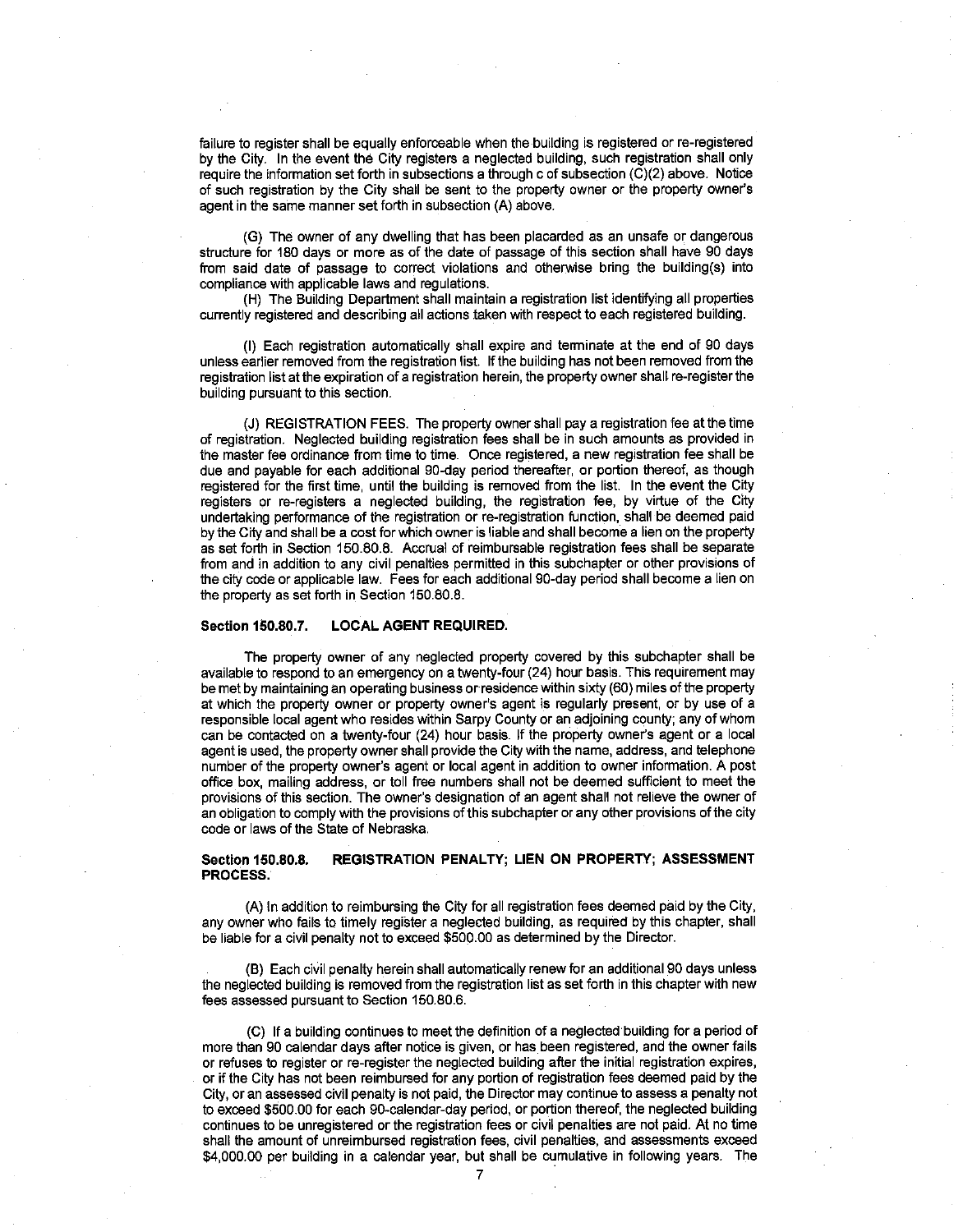failure to register shall be equally enforceable when the building is registered or re-registered by the City. In the event the City registers a neglected building, such registration shall only require the information set forth in subsections a through c of subsection (C)(2) above. Notice of such registration by the City shall be sent to the property owner or the property owner's agent in the same manner set forth in subsection (A) above.

(G) The owner of any dwelling that has been placarded as an unsafe or dangerous structure for 180 days or more as of the date of passage of this section shall have 90 days from said date of passage to correct violations and otherwise bring the building(s) into compliance with applicable laws and regulations.

(H) The Building Department shall maintain a registration list identifying all properties currently registered and describing all actions taken with respect to each registered building.

(I) Each registration automatically shall expire and terminate at the end of 90 days unless earlier removed from the registration list. If the building has not been removed from the registration list at the expiration of a registration herein, the property owner shalt re-register the building pursuant to this section.

(J) REGISTRATION FEES. The property owner shall pay a registration fee at the time of registration. Neglected building registration fees shall be in such amounts as provided in the master fee ordinance from time to time. Once registered, a new registration fee shall be due and payable for each additional 90-day period thereafter, or portion thereof, as though registered for the first time, until the building is removed from the list. In the event the City registers or re-registers a neglected building, the registration fee, by virtue of the City undertaking performance of the registration or re-registration function, shall be deemed paid by the City and shall be a cost for which owner is liable and shall become a lien on the property as set forth in Section 150.80.8. Accrual of reimbursable registration fees shall be separate from and in addition to any civil penalties permitted in this subchapter or other provisions of the city code or applicable law. Fees for each additional 90-day period shall become a lien on the property as set forth in Section 150.80.8.

#### **Section 150.80.7. LOCAL AGENT REQUIRED.**

The property owner of any neglected property covered by this subchapter shall be available to respond to an emergency on a twenty-four (24) hour basis. This requirement may be met by maintaining an operating business orresidence within sixty (60) miles of the property at which the property owner or property owner's agent is regularly present, or by use of a responsible local agent who resides within Sarpy County or an adjoining county; any of whom can be contacted on a twenty-four (24) hour basis. If the property owner's agent or a local agent is used, the property owner shall provide the City with the name, address, and telephone number of the property owner's agent or local agent in addition to owner information. A post office box, mailing address, or toll free numbers shall not be deemed sufficient to meet the provisions of this section. The owner's designation of an agent shall not relieve the owner of an obligation to comply with the provisions of this subchapter or any other provisions of the city code or laws of the State of Nebraska.

### **Section 150.80.8. REGISTRATION PENALTY; LIEN ON PROPERTY; ASSESSMENT PROCESS.**

(A) In addition to reimbursing the City for all registration fees deemed paid by the City, any owner who fails to timely register a neglected building, as required by this chapter, shall be liable for a civil penalty not to exceed \$500.00 as determined by the Director.

(B) Each civil penalty herein shall automatically renew for an additional 90 days unless the neglected building is removed from the registration list as set forth in this chapter with new fees assessed pursuant to Section 150.80.6.

(C) If a building continues to meet the definition of a neglected building for a period of more than 90 calendar days after notice is given, or has been registered, and the owner fails or refuses to register or re-register the neglected building after the initial registration expires, or if the City has not been reimbursed for any portion of registration fees deemed paid by the City, or an assessed civil penalty is not paid, the Director may continue to assess a penalty not to exceed \$500.00 for each 90-calendar-day period, or portion thereof, the neglected building continues to be unregistered or the registration fees or civil penalties are not paid. At no time shall the amount of unreimbursed registration fees, civil penalties, and assessments exceed \$4,000.00 per building in a calendar year, but shall be cumulative in following years. The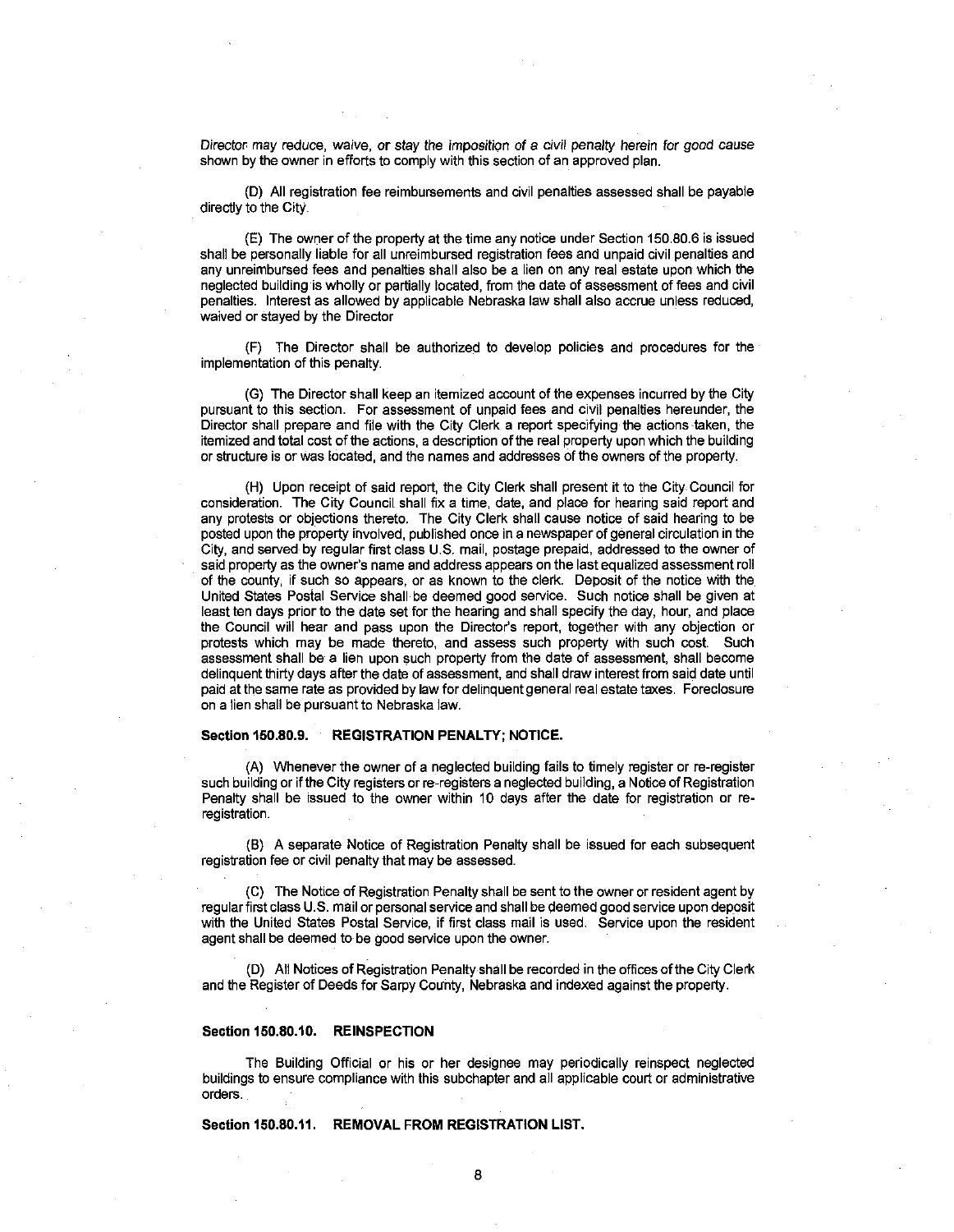Director may reduce, waive, or stay the imposition *of* a civil penalty herein for good cause shown by the owner in efforts to comply with this section of an approved plan.

(D) All registration fee reimbursements and civil penalties assessed shall be payable directly to the City.

(E) The owner of the property at the time any notice under Section 150.80.6 is issued shall be personally liable for all unreimbursed registration fees and unpaid civil penalties and any unreimbursed fees and penalties shall also be a lien on any real estate upon which the neglected building is wholly or partially located, from the date of assessment of fees and civil penalties. Interest as allowed by applicable Nebraska law shall also accrue unless reduced, waived or stayed by the Director

(F) The Director shall be authorized to develop policies and procedures for the implementation of this penalty.

(G) The Director shall keep an itemized account of the expenses incurred by the City pursuant to this section. For assessment of unpaid fees and civil penalties hereunder, the Director shall prepare and file with the City Clerk a report specifying the actions taken, the itemized and total cost of the actions, a description of the real property upon which the building or structure is or was located, and the names and addresses of the owners of the property.

(H) Upon receipt of said report, the City Clerk shall present it to the City Council for consideration. The City Council shall fix a time, date, and place for hearing said report and any protests or objections thereto. The City Clerk shall cause notice of said hearing to be posted upon the property involved, published once in a newspaper of general circulation in the City, and served by regular first class U.S. mail, postage prepaid, addressed to the owner of said property as the owner's name and address appears on the last equalized assessment roll of the county, if such so appears, or as known to the clerk. Deposit of the notice with the United States Postal Service shall be deemed good service. Such notice shall be given at least ten days prior to the date set for the hearing and shall specify the day, hour, and place the Council will hear and pass upon the Director's report, together with any objection or protests which may be made thereto, and assess such property with such cost. Such assessment shall be a lien upon such property from the date of assessment, shall become delinquent thirty days after the date of assessment, and shall draw interest from said date until paid at the same rate as provided by law for delinquent general real estate taxes. Foreclosure on a lien shall be pursuant to Nebraska law.

#### **Section 150.80.9. REGISTRATION PENALTY; NOTICE.**

(A) Whenever the owner of a neglected building fails to timely register or re-register such building or if the City registers or re-registers a neglected building, a Notice of Registration Penalty shall be issued to the owner within 10 days after the date for registration or reregistration.

(B) A separate Notice of Registration Penalty shall be issued for each subsequent registration fee or civil penalty that may be assessed.

(C) The Notice of Registration Penalty shall be sent to the owner or resident agent by regular first class U.S. mail or personal service and shall be deemed good service upon deposit with the United States Postal Service, if first class mail is used. Service upon the resident agent shall be deemed to be good service upon the owner.

(D) All Notices of Registration Penalty shall be recorded in the offices of the City Clerk and the Register of Deeds for Sarpy County, Nebraska and indexed against the properly.

#### **Section 150.80.10. REINSPECTION**

The Building Official or his or her designee may periodically reinspect neglected buildings to ensure compliance with this subchapter and all applicable court or administrative orders.

**Section 150.80.11. REMOVAL FROM REGISTRATION LIST.**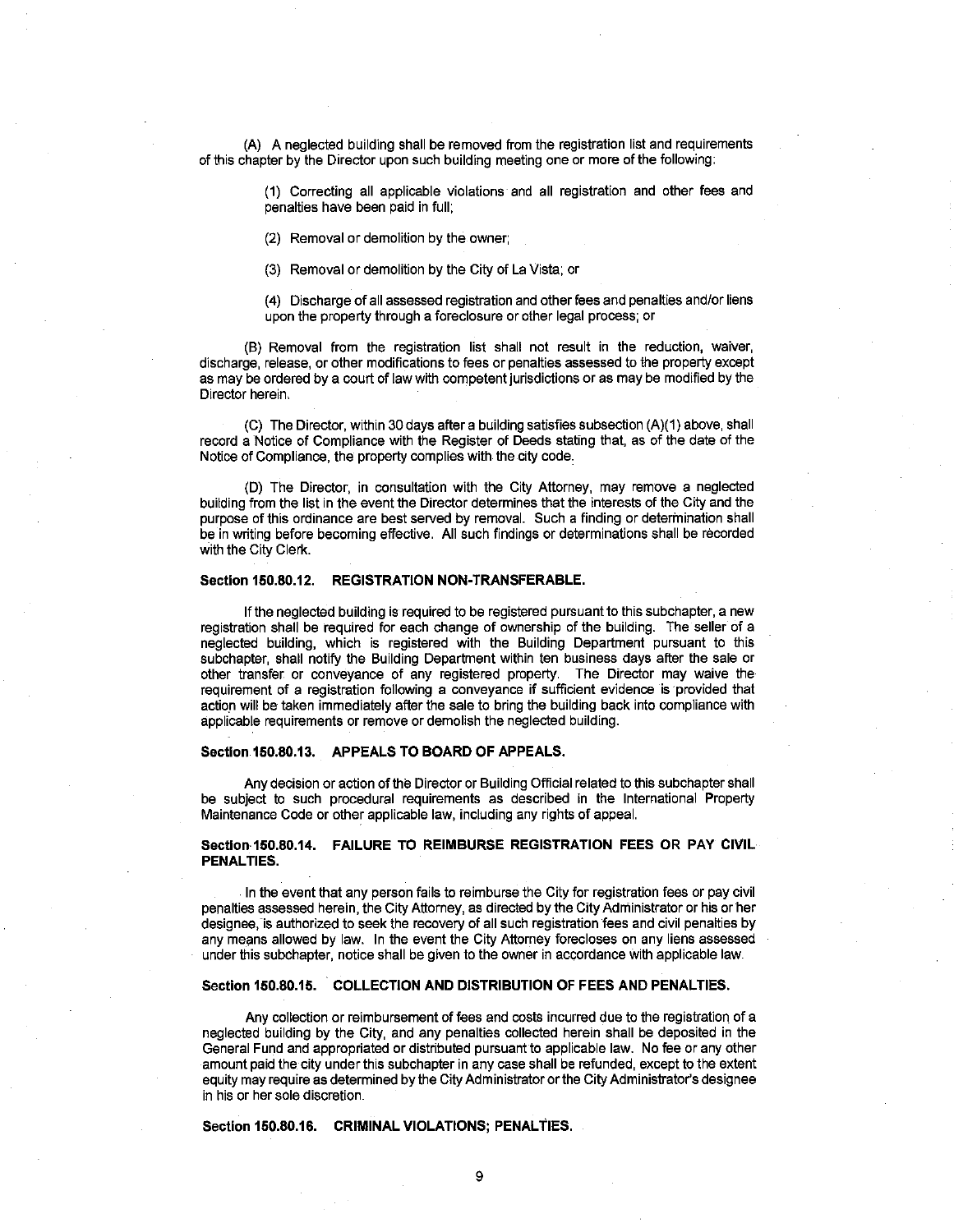(A) A neglected building shall be removed from the registration list and requirements of this chapter by the Director upon such building meeting one or more of the following:

> (1) Correcting all applicable violations and all registration and other fees and penalties have been paid in full;

(2) Removal or demolition by the owner;

(3) Removal or demolition by the City of La Vista; or

(4) Discharge of all assessed registration and other fees and penalties and/or liens upon the property through a foreclosure or other legal process; or

(B) Removal from the registration list shall not result in the reduction, waiver, discharge, release, or other modifications to fees or penalties assessed to the property except as may be ordered by a court of law with competent jurisdictions or as may be modified by the Director herein.

(C) The Director, within 30 days after a building satisfies subsection (A)(1) above, shall record a Notice of Compliance with the Register of Deeds stating that, as of the date of the Notice of Compliance, the property complies with the city code.

(D) The Director, in consultation with the City Attorney, may remove a neglected building from the list in the event the Director determines that the interests of the City and the purpose of this ordinance are best served by removal. Such a finding or determination shall be in writing before becoming effective. All such findings or determinations shall be recorded with the City Clerk.

#### **Section 150.80.12. REGISTRATION NON-TRANSFERABLE.**

If the neglected building is required to be registered pursuant to this subchapter, a new registration shall be required for each change of ownership of the building. The seller of a neglected building, which is registered with the Building Department pursuant to this subchapter, shall notify the Building Department within ten business days after the sale or other transfer, or conveyance of any registered property. The Director may waive the requirement of a registration following a conveyance if sufficient evidence is provided that action will be taken immediately after the sale to bring the building back into compliance with applicable requirements or remove or demolish the neglected building.

#### **Section 150.80.13. APPEALS TO BOARD OF APPEALS.**

Any decision or action of the Director or Building Official related to this subchapter shall be subject to such procedural requirements as described in the International Property Maintenance Code or other applicable law, including any rights of appeal.

### **Section 150.80.14. FAILURE TO REIMBURSE REGISTRATION FEES OR PAY CIVIL PENALTIES.**

In the event that any person fails to reimburse the City for registration fees or pay civil penalties assessed herein, the City Attorney, as directed by the City Administrator or his or her designee, is authorized to seek the recovery of all such registration fees and civil penalties by any means allowed by law. In the event the City Attorney forecloses on any liens assessed under this subchapter, notice shall be given to the owner in accordance with applicable law.

# **Section 150.80.15. COLLECTION AND DISTRIBUTION OF FEES AND PENALTIES.**

Any collection or reimbursement of fees and costs incurred due to the registration of a neglected building by the City, and any penalties collected herein shall be deposited in the General Fund and appropriated or distributed pursuant to applicable law. No fee or any other amount paid the city under this subchapter in any case shall be refunded, except to the extent equity may require as determined by the City Administrator or the City Administrator's designee in his or her sole discretion.

**Section 150.80.16. CRIMINAL VIOLATIONS; PENALTIES.**